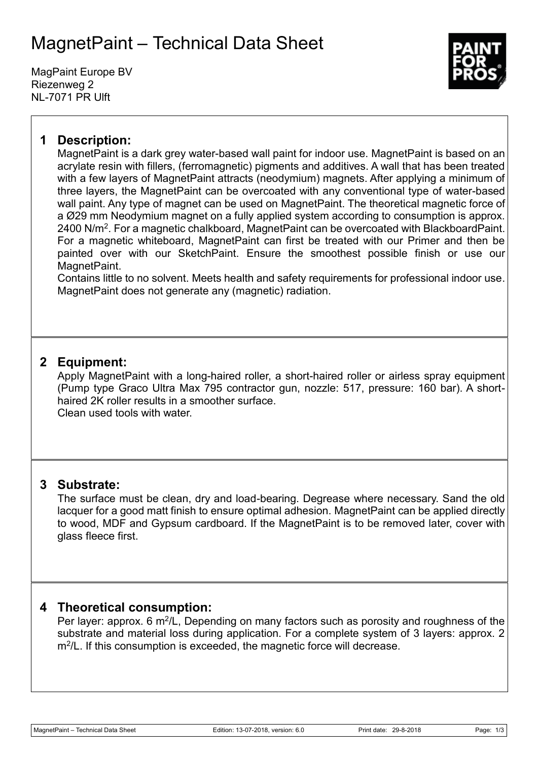## MagnetPaint – Technical Data Sheet

MagPaint Europe BV Riezenweg 2 NL-7071 PR Ulft



## **1 Description:**

MagnetPaint is a dark grey water-based wall paint for indoor use. MagnetPaint is based on an acrylate resin with fillers, (ferromagnetic) pigments and additives. A wall that has been treated with a few layers of MagnetPaint attracts (neodymium) magnets. After applying a minimum of three layers, the MagnetPaint can be overcoated with any conventional type of water-based wall paint. Any type of magnet can be used on MagnetPaint. The theoretical magnetic force of a Ø29 mm Neodymium magnet on a fully applied system according to consumption is approx. 2400 N/m<sup>2</sup>. For a magnetic chalkboard, MagnetPaint can be overcoated with BlackboardPaint. For a magnetic whiteboard, MagnetPaint can first be treated with our Primer and then be painted over with our SketchPaint. Ensure the smoothest possible finish or use our MagnetPaint.

Contains little to no solvent. Meets health and safety requirements for professional indoor use. MagnetPaint does not generate any (magnetic) radiation.

## **2 Equipment:**

Apply MagnetPaint with a long-haired roller, a short-haired roller or airless spray equipment (Pump type Graco Ultra Max 795 contractor gun, nozzle: 517, pressure: 160 bar). A shorthaired 2K roller results in a smoother surface.

Clean used tools with water.

## **3 Substrate:**

The surface must be clean, dry and load-bearing. Degrease where necessary. Sand the old lacquer for a good matt finish to ensure optimal adhesion. MagnetPaint can be applied directly to wood, MDF and Gypsum cardboard. If the MagnetPaint is to be removed later, cover with glass fleece first.

## **4 Theoretical consumption:**

Per layer: approx. 6 m<sup>2</sup>/L, Depending on many factors such as porosity and roughness of the substrate and material loss during application. For a complete system of 3 layers: approx. 2 m<sup>2</sup>/L. If this consumption is exceeded, the magnetic force will decrease.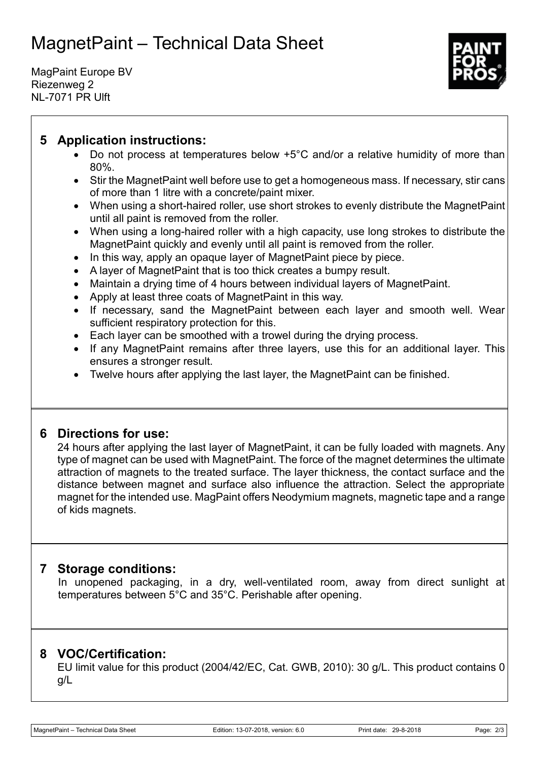# MagnetPaint – Technical Data Sheet

MagPaint Europe BV Riezenweg 2 NL-7071 PR Ulft



## **5 Application instructions:**

- Do not process at temperatures below +5°C and/or a relative humidity of more than 80%.
- Stir the Magnet Paint well before use to get a homogeneous mass. If necessary, stir cans of more than 1 litre with a concrete/paint mixer.
- When using a short-haired roller, use short strokes to evenly distribute the MagnetPaint until all paint is removed from the roller.
- When using a long-haired roller with a high capacity, use long strokes to distribute the MagnetPaint quickly and evenly until all paint is removed from the roller.
- In this way, apply an opaque layer of Magnet Paint piece by piece.
- A layer of MagnetPaint that is too thick creates a bumpy result.
- Maintain a drying time of 4 hours between individual layers of MagnetPaint.
- Apply at least three coats of MagnetPaint in this way.
- If necessary, sand the MagnetPaint between each layer and smooth well. Wear sufficient respiratory protection for this.
- Each layer can be smoothed with a trowel during the drying process.
- If any MagnetPaint remains after three layers, use this for an additional layer. This ensures a stronger result.
- Twelve hours after applying the last layer, the MagnetPaint can be finished.

## **6 Directions for use:**

24 hours after applying the last layer of MagnetPaint, it can be fully loaded with magnets. Any type of magnet can be used with MagnetPaint. The force of the magnet determines the ultimate attraction of magnets to the treated surface. The layer thickness, the contact surface and the distance between magnet and surface also influence the attraction. Select the appropriate magnet for the intended use. MagPaint offers Neodymium magnets, magnetic tape and a range of kids magnets.

## **7 Storage conditions:**

In unopened packaging, in a dry, well-ventilated room, away from direct sunlight at temperatures between 5°C and 35°C. Perishable after opening.

## **8 VOC/Certification:**

EU limit value for this product (2004/42/EC, Cat. GWB, 2010): 30 g/L. This product contains 0 g/L